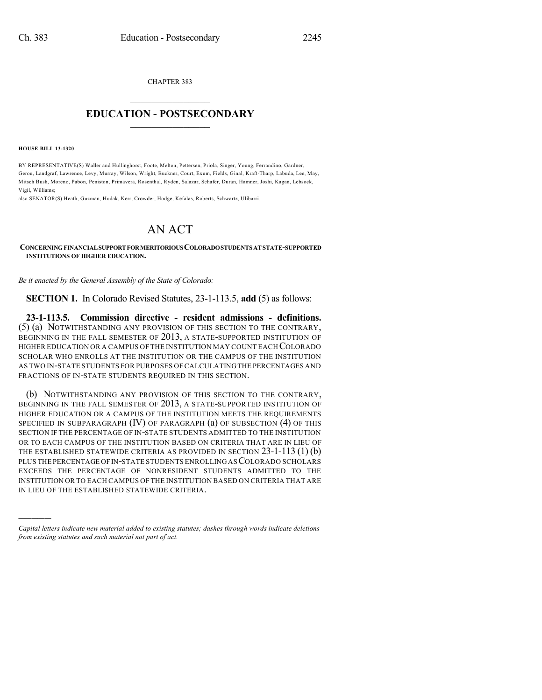CHAPTER 383  $\overline{\phantom{a}}$  . The set of the set of the set of the set of the set of the set of the set of the set of the set of the set of the set of the set of the set of the set of the set of the set of the set of the set of the set o

## **EDUCATION - POSTSECONDARY**  $\frac{1}{2}$  ,  $\frac{1}{2}$  ,  $\frac{1}{2}$  ,  $\frac{1}{2}$  ,  $\frac{1}{2}$  ,  $\frac{1}{2}$  ,  $\frac{1}{2}$

**HOUSE BILL 13-1320**

)))))

BY REPRESENTATIVE(S) Waller and Hullinghorst, Foote, Melton, Pettersen, Priola, Singer, Young, Ferrandino, Gardner, Gerou, Landgraf, Lawrence, Levy, Murray, Wilson, Wright, Buckner, Court, Exum, Fields, Ginal, Kraft-Tharp, Labuda, Lee, May, Mitsch Bush, Moreno, Pabon, Peniston, Primavera, Rosenthal, Ryden, Salazar, Schafer, Duran, Hamner, Joshi, Kagan, Lebsock, Vigil, Williams;

also SENATOR(S) Heath, Guzman, Hudak, Kerr, Crowder, Hodge, Kefalas, Roberts, Schwartz, Ulibarri.

## AN ACT

**CONCERNINGFINANCIALSUPPORTFORMERITORIOUSCOLORADOSTUDENTSAT STATE-SUPPORTED INSTITUTIONS OF HIGHER EDUCATION.**

*Be it enacted by the General Assembly of the State of Colorado:*

**SECTION 1.** In Colorado Revised Statutes, 23-1-113.5, **add** (5) as follows:

**23-1-113.5. Commission directive - resident admissions - definitions.** (5) (a) NOTWITHSTANDING ANY PROVISION OF THIS SECTION TO THE CONTRARY, BEGINNING IN THE FALL SEMESTER OF 2013, A STATE-SUPPORTED INSTITUTION OF HIGHER EDUCATION OR A CAMPUS OF THE INSTITUTION MAY COUNT EACH COLORADO SCHOLAR WHO ENROLLS AT THE INSTITUTION OR THE CAMPUS OF THE INSTITUTION AS TWO IN-STATE STUDENTS FOR PURPOSES OF CALCULATINGTHE PERCENTAGES AND FRACTIONS OF IN-STATE STUDENTS REQUIRED IN THIS SECTION.

(b) NOTWITHSTANDING ANY PROVISION OF THIS SECTION TO THE CONTRARY, BEGINNING IN THE FALL SEMESTER OF 2013, A STATE-SUPPORTED INSTITUTION OF HIGHER EDUCATION OR A CAMPUS OF THE INSTITUTION MEETS THE REQUIREMENTS SPECIFIED IN SUBPARAGRAPH (IV) OF PARAGRAPH (a) OF SUBSECTION (4) OF THIS SECTION IF THE PERCENTAGE OF IN-STATE STUDENTS ADMITTED TO THE INSTITUTION OR TO EACH CAMPUS OF THE INSTITUTION BASED ON CRITERIA THAT ARE IN LIEU OF THE ESTABLISHED STATEWIDE CRITERIA AS PROVIDED IN SECTION  $23-1-113(1)(b)$ PLUS THE PERCENTAGE OF IN-STATE STUDENTS ENROLLING AS COLORADO SCHOLARS EXCEEDS THE PERCENTAGE OF NONRESIDENT STUDENTS ADMITTED TO THE INSTITUTION OR TO EACH CAMPUS OF THE INSTITUTION BASED ON CRITERIA THAT ARE IN LIEU OF THE ESTABLISHED STATEWIDE CRITERIA.

*Capital letters indicate new material added to existing statutes; dashes through words indicate deletions from existing statutes and such material not part of act.*